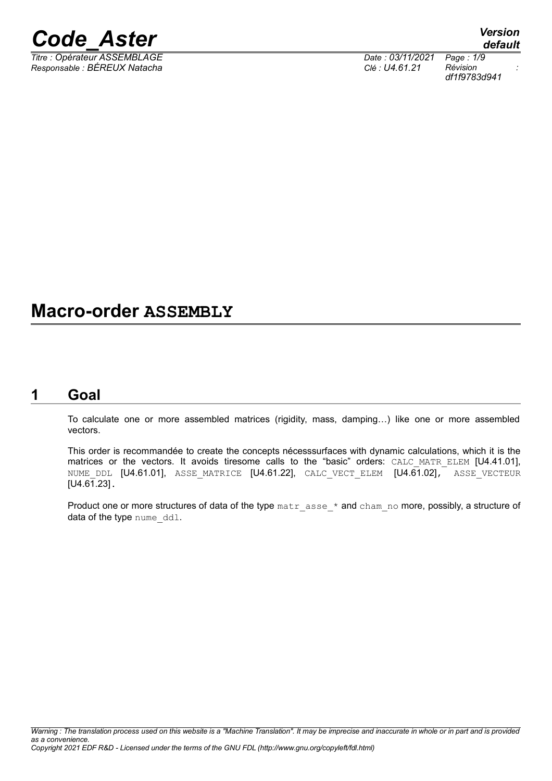

*Titre : Opérateur ASSEMBLAGE Date : 03/11/2021 Page : 1/9 Responsable : BÉREUX Natacha Clé : U4.61.21 Révision :*

*df1f9783d941*

# **Macro-order ASSEMBLY**

# **1 Goal**

To calculate one or more assembled matrices (rigidity, mass, damping…) like one or more assembled vectors.

This order is recommandée to create the concepts nécesssurfaces with dynamic calculations, which it is the matrices or the vectors. It avoids tiresome calls to the "basic" orders: CALC MATR ELEM [U4.41.01], NUME DDL [U4.61.01], ASSE MATRICE [U4.61.22], CALC VECT ELEM [U4.61.02], ASSE VECTEUR [U4.61.23].

Product one or more structures of data of the type matr asse \* and cham\_no more, possibly, a structure of data of the type nume ddl.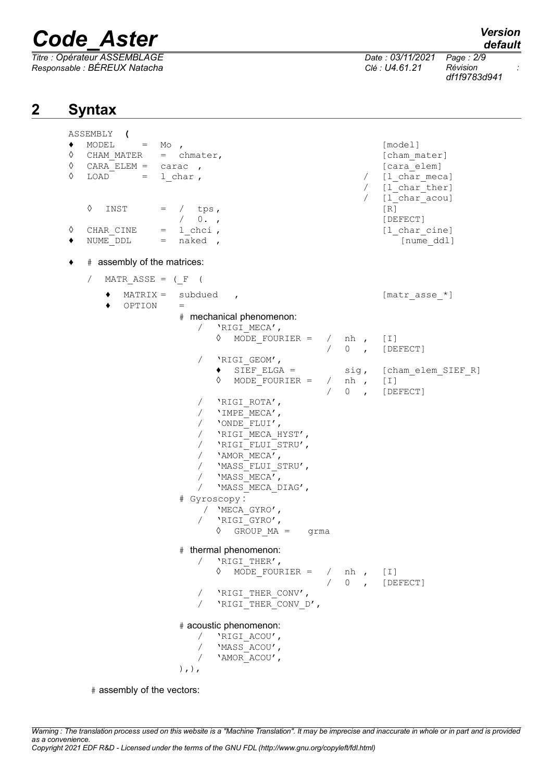*Titre : Opérateur ASSEMBLAGE Date : 03/11/2021 Page : 2/9 Responsable : BÉREUX Natacha Clé : U4.61.21 Révision :*

*default*

*df1f9783d941*

# **2 Syntax**

ASSEMBLY **(**  $\bullet$  MODEL = Mo ,  $[\text{model}]$ ◊ CHAM\_MATER = chmater, [cham\_mater] ◊ CARA\_ELEM = carac , [cara\_elem] ◊ LOAD = l\_char , / [l\_char\_meca] / [l char ther] / [1 char acou]  $\Diamond$  INST = / tps,  $[R]$ / 0. , [DEFECT] ◊ CHAR CINE = l chci , [l char cine]  $\bullet$  NUME DDL = naked ,  $\qquad \qquad$  [nume ddl]  $\bullet$  # assembly of the matrices: / MATR ASSE = ( $F$  (  $MATRIX =$  subdued ,  $[$ matr asse \*]  $\triangle$  OPTION = # mechanical phenomenon: / 'RIGI\_MECA',  $\Diamond$  MODE FOURIER = / nh , [I] / 0 , [DEFECT] / 'RIGI\_GEOM',<br>◆ SIEF ELGA = sig, [cham\_elem\_SIEF\_R]  $\Diamond$  MODE FOURIER = / nh , [I] / 0 , [DEFECT] / 'RIGI\_ROTA',  $/$  'IMPE MECA', / 'ONDE\_FLUI', / 'RIGI<sup>MECA</sup> HYST', / 'RIGI\_FLUI\_STRU', / 'AMOR\_MECA', / 'MASS\_FLUI\_STRU',  $/$  'MASS MECA', / 'MASS MECA DIAG', # Gyroscopy : / 'MECA\_GYRO', / 'RIGI\_GYRO',  $\Diamond$  GROUP MA = grma # thermal phenomenon: / 'RIGI\_THER',  $\Diamond$  MODE FOURIER = / nh , [I] / 0 , [DEFECT] / 'RIGI\_THER\_CONV', / 'RIGI<sup>THER</sup> CONV D', # acoustic phenomenon: / 'RIGI\_ACOU', / 'MASS\_ACOU', / 'AMOR\_ACOU',  $),$ ),

# assembly of the vectors: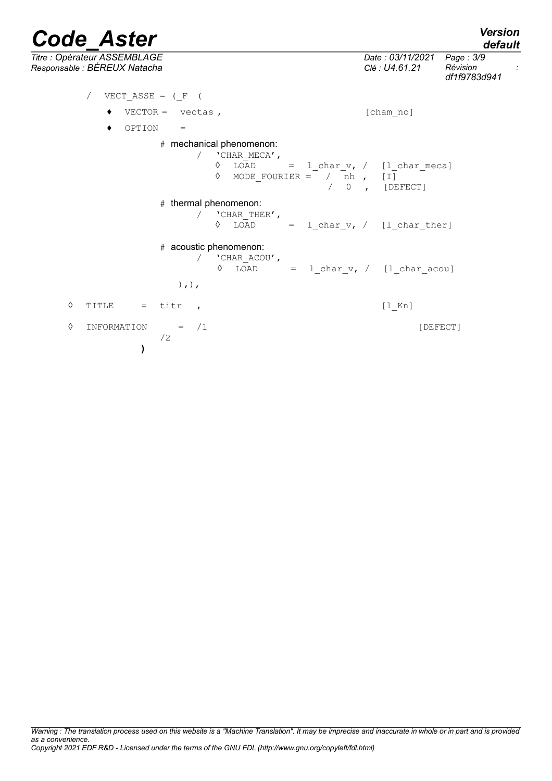| <b>Code Aster</b>                                                                                                             |                                    | <b>Version</b><br>default                          |
|-------------------------------------------------------------------------------------------------------------------------------|------------------------------------|----------------------------------------------------|
| Titre: Opérateur ASSEMBLAGE<br>Responsable : BÉREUX Natacha                                                                   | Date: 03/11/2021<br>Clé : U4.61.21 | Page: 3/9<br>Révision<br>$\cdot$ :<br>df1f9783d941 |
| VECT ASSE = $(F ($                                                                                                            |                                    |                                                    |
| $VECTOR = vectas$ ,                                                                                                           | [cham no]                          |                                                    |
| OPTION<br>٠<br>$=$                                                                                                            |                                    |                                                    |
| # mechanical phenomenon:<br>'CHAR MECA',<br>♦<br>LOAD<br>$= 1$ char $v$ , / [1 char meca]<br>♦<br>MODE FOURIER = $/ nh$ , [I] | $/ 0$ , [DEFECT]                   |                                                    |
| # thermal phenomenon:<br>'CHAR_THER',<br>♦<br>LOAD = $1$ char $v$ , / $[1$ char ther]                                         |                                    |                                                    |
| # acoustic phenomenon:<br>/ 'CHAR ACOU',<br>LOAD<br>♦<br>$),$ , $),$                                                          | $= 1_{char_v}, / [1_{char_acou}]$  |                                                    |
| ♦<br>$=$ titr<br>TITLE<br>$\overline{ }$                                                                                      | $[1$ Kn]                           |                                                    |
| ♦<br>/1<br>INFORMATION<br>$=$<br>/2                                                                                           |                                    | [DEFECT]                                           |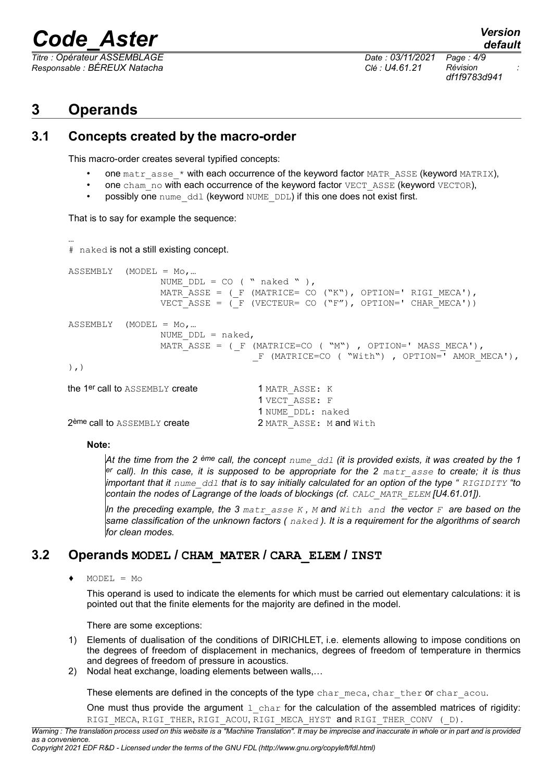*Titre : Opérateur ASSEMBLAGE Date : 03/11/2021 Page : 4/9 Responsable : BÉREUX Natacha Clé : U4.61.21 Révision :*

*df1f9783d941*

*default*

# **3 Operands**

## **3.1 Concepts created by the macro-order**

This macro-order creates several typified concepts:

- one matr asse  $*$  with each occurrence of the keyword factor MATR ASSE (keyword MATRIX),
- one cham no with each occurrence of the keyword factor VECT\_ASSE (keyword VECTOR),
- possibly one nume ddl (keyword NUME DDL) if this one does not exist first.

That is to say for example the sequence:

```
…
# naked is not a still existing concept.
ASSEMENT (MODEL = Mo,...
                 NUME DDL = CO ( " naked " ),
                  MATR ASSE = (F (MATRICE= CO ("K"), OPTION=' RIGI MECA'),
                  VECT ASSE = (\overline{F} (VECTEUR= CO ("F"), OPTION=' CHAR MECA'))
ASSEMBLY (MODEL = Mo,…
                  NUME DDL = naked,MATR ASSE = (F (MATRICE=CO ("M"), OPTION=' MASS MECA'),
                                    F (MATRICE=CO ( "With"), OPTION=' AMOR MECA'),
),)
the 1<sup>er</sup> call to ASSEMBLY create 1 MATR ASSE: K
                                     1 VECT_ASSE: F
                                     1 NUME_DDL: naked
2<sup>ème</sup> call to ASSEMBLY create 2 MATR ASSE: M and With
```
#### **Note:**

*At the time from the 2 ème call, the concept nume\_ddl (it is provided exists, it was created by the 1 er call). In this case, it is supposed to be appropriate for the 2 matr\_asse to create; it is thus important that it nume\_ddl that is to say initially calculated for an option of the type " RIGIDITY "to contain the nodes of Lagrange of the loads of blockings (cf. CALC\_MATR\_ELEM [U4.61.01]).*

*In the preceding example, the 3 matr\_asse K , M and With and the vector F are based on the same classification of the unknown factors ( naked ). It is a requirement for the algorithms of search for clean modes.*

## **3.2 Operands MODEL / CHAM\_MATER / CARA\_ELEM / INST**

 $\triangleleft$  MODEL = Mo

This operand is used to indicate the elements for which must be carried out elementary calculations: it is pointed out that the finite elements for the majority are defined in the model.

There are some exceptions:

- 1) Elements of dualisation of the conditions of DIRICHLET, i.e. elements allowing to impose conditions on the degrees of freedom of displacement in mechanics, degrees of freedom of temperature in thermics and degrees of freedom of pressure in acoustics.
- 2) Nodal heat exchange, loading elements between walls,…

These elements are defined in the concepts of the type char meca, char ther or char acou.

One must thus provide the argument  $1$  char for the calculation of the assembled matrices of rigidity: RIGI\_MECA, RIGI\_THER, RIGI\_ACOU, RIGI\_MECA\_HYST and RIGI\_THER\_CONV (\_D).

*Warning : The translation process used on this website is a "Machine Translation". It may be imprecise and inaccurate in whole or in part and is provided as a convenience.*

```
Copyright 2021 EDF R&D - Licensed under the terms of the GNU FDL (http://www.gnu.org/copyleft/fdl.html)
```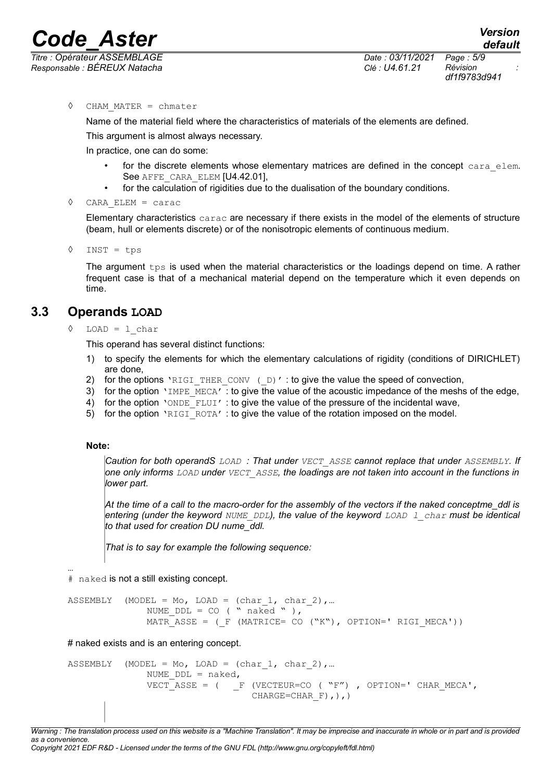*Code\_Aster Version Titre : Opérateur ASSEMBLAGE Date : 03/11/2021 Page : 5/9*

*Responsable : BÉREUX Natacha Clé : U4.61.21 Révision :*

*df1f9783d941*

◊ CHAM\_MATER = chmater

Name of the material field where the characteristics of materials of the elements are defined.

This argument is almost always necessary.

In practice, one can do some:

- for the discrete elements whose elementary matrices are defined in the concept cara elem. See AFFE\_CARA\_ELEM [U4.42.01],
- for the calculation of rigidities due to the dualisation of the boundary conditions.
- ◊ CARA\_ELEM = carac

Elementary characteristics carac are necessary if there exists in the model of the elements of structure (beam, hull or elements discrete) or of the nonisotropic elements of continuous medium.

◊ INST = tps

The argument  $t_{\text{ps}}$  is used when the material characteristics or the loadings depend on time. A rather frequent case is that of a mechanical material depend on the temperature which it even depends on time.

# **3.3 Operands LOAD**

#### $\Diamond$  LOAD = 1 char

This operand has several distinct functions:

- 1) to specify the elements for which the elementary calculations of rigidity (conditions of DIRICHLET) are done,
- 2) for the options 'RIGI\_THER\_CONV ( $D$ )' : to give the value the speed of convection,
- 3) for the option 'IMPE\_MECA' : to give the value of the acoustic impedance of the meshs of the edge,
- 4) for the option 'ONDE\_FLUI' : to give the value of the pressure of the incidental wave,
- 5) for the option 'RIGI\_ROTA' : to give the value of the rotation imposed on the model.

#### **Note:**

*Caution for both operandS LOAD : That under VECT\_ASSE cannot replace that under ASSEMBLY. If one only informs LOAD under VECT\_ASSE, the loadings are not taken into account in the functions in lower part.* 

*At the time of a call to the macro-order for the assembly of the vectors if the naked conceptme\_ddl is entering (under the keyword NUME\_DDL), the value of the keyword LOAD l\_char must be identical to that used for creation DU nume\_ddl.*

*That is to say for example the following sequence:*

… # naked is not a still existing concept.

```
ASSEMBLY (MODEL = Mo, LOAD = (char 1, char 2), ...
              NUME DDL = CO ( " naked " ),
              MATR ASSE = (F (MATRICE= CO ("K"), OPTION=' RIGI MECA'))
```
# naked exists and is an entering concept.

```
ASSEMBLY (MODEL = Mo, LOAD = (char 1, char 2), ...
              NUME DDL = naked,VECT ASSE = ( F (VECTEUR=CO ( "F"), OPTION=' CHAR MECA',
                                 CHARGE=CHAR F), ), )
```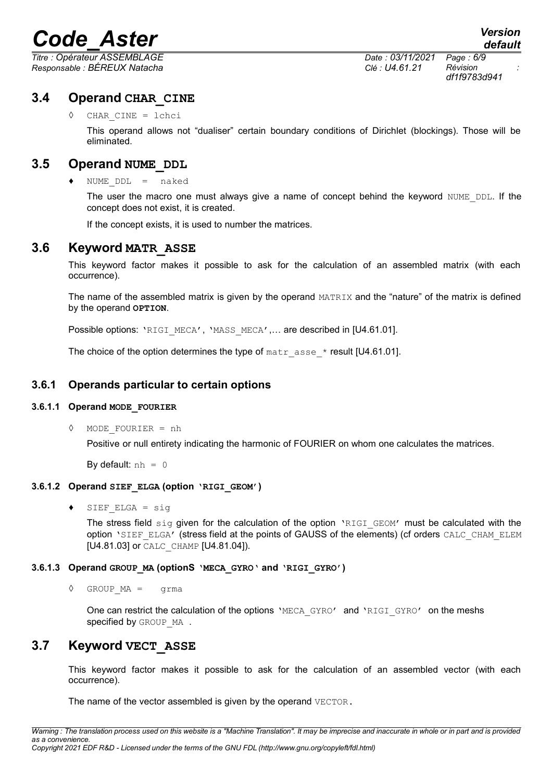*Titre : Opérateur ASSEMBLAGE Date : 03/11/2021 Page : 6/9 Responsable : BÉREUX Natacha Clé : U4.61.21 Révision :*

*df1f9783d941*

## **3.4 Operand CHAR\_CINE**

CHAR CINE = lchci

This operand allows not "dualiser" certain boundary conditions of Dirichlet (blockings). Those will be eliminated.

### **3.5 Operand NUME\_DDL**

♦ NUME\_DDL = naked

The user the macro one must always give a name of concept behind the keyword NUME DDL. If the concept does not exist, it is created.

If the concept exists, it is used to number the matrices.

### **3.6 Keyword MATR\_ASSE**

This keyword factor makes it possible to ask for the calculation of an assembled matrix (with each occurrence).

The name of the assembled matrix is given by the operand MATRIX and the "nature" of the matrix is defined by the operand **OPTION**.

Possible options: 'RIGI\_MECA', 'MASS\_MECA',... are described in [U4.61.01].

The choice of the option determines the type of  $\text{matrix}$  asse  $*$  result [U4.61.01].

#### **3.6.1 Operands particular to certain options**

#### **3.6.1.1 Operand MODE\_FOURIER**

◊ MODE\_FOURIER = nh

Positive or null entirety indicating the harmonic of FOURIER on whom one calculates the matrices.

By default:  $nh = 0$ 

#### **3.6.1.2 Operand SIEF\_ELGA (option 'RIGI\_GEOM')**

 $SIEF$  ELGA = sig

The stress field  $\sin q$  given for the calculation of the option 'RIGI\_GEOM' must be calculated with the option 'SIEF\_ELGA' (stress field at the points of GAUSS of the elements) (cf orders CALC\_CHAM\_ELEM [U4.81.03] or CALC\_CHAMP [U4.81.04]).

#### **3.6.1.3 Operand GROUP\_MA (optionS 'MECA\_GYRO' and 'RIGI\_GYRO')**

◊ GROUP\_MA = grma

One can restrict the calculation of the options 'MECA GYRO' and 'RIGI GYRO' on the meshs specified by GROUP MA.

## **3.7 Keyword VECT\_ASSE**

This keyword factor makes it possible to ask for the calculation of an assembled vector (with each occurrence).

The name of the vector assembled is given by the operand VECTOR.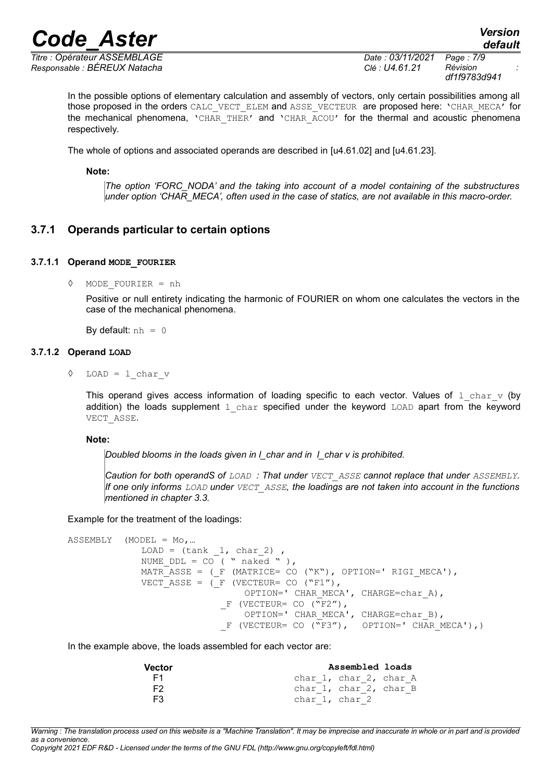*Responsable : BÉREUX Natacha Clé : U4.61.21 Révision :*

*Titre : Opérateur ASSEMBLAGE Date : 03/11/2021 Page : 7/9 df1f9783d941*

In the possible options of elementary calculation and assembly of vectors, only certain possibilities among all those proposed in the orders CALC\_VECT\_ELEM and ASSE\_VECTEUR\_are proposed here: 'CHAR\_MECA' for the mechanical phenomena, 'CHAR THER' and 'CHAR ACOU' for the thermal and acoustic phenomena respectively.

The whole of options and associated operands are described in [u4.61.02] and [u4.61.23].

**Note:**

*The option 'FORC\_NODA' and the taking into account of a model containing of the substructures under option 'CHAR\_MECA', often used in the case of statics, are not available in this macro-order.*

#### **3.7.1 Operands particular to certain options**

#### **3.7.1.1 Operand MODE\_FOURIER**

◊ MODE\_FOURIER = nh

Positive or null entirety indicating the harmonic of FOURIER on whom one calculates the vectors in the case of the mechanical phenomena.

By default:  $nh = 0$ 

#### **3.7.1.2 Operand LOAD**

◊ LOAD = l\_char\_v

This operand gives access information of loading specific to each vector. Values of 1 char v (by addition) the loads supplement  $1$  char specified under the keyword LOAD apart from the keyword VECT\_ASSE.

#### **Note:**

*Doubled blooms in the loads given in l\_char and in l\_char v is prohibited.*

*Caution for both operandS of LOAD : That under VECT\_ASSE cannot replace that under ASSEMBLY. If one only informs LOAD under VECT\_ASSE, the loadings are not taken into account in the functions mentioned in chapter 3.3.* 

Example for the treatment of the loadings:

ASSEMBLY (MODEL = Mo,…  $LOAD = (tank 1, char 2)$ NUME  $DDL = CO^{-}$  ( " naked " ), MATR ASSE = ( $F$  (MATRICE= CO ("K"), OPTION=' RIGI MECA'), VECT ASSE = ( $F$  (VECTEUR= CO ("F1"), OPTION=' CHAR MECA', CHARGE=char A),  $F$  (VECTEUR= CO ( $\sqrt{F}Z''$ ), OPTION=' CHAR MECA', CHARGE=char B), F (VECTEUR= CO  $(\sqrt{\Gamma}S'')$ , OPTION=' CHAR MECA'),)

In the example above, the loads assembled for each vector are:

| Vector | Assembled loads        |
|--------|------------------------|
| - F1   | char 1, char 2, char A |
| F2.    | char 1, char 2, char B |
| F3.    | char 1, char 2         |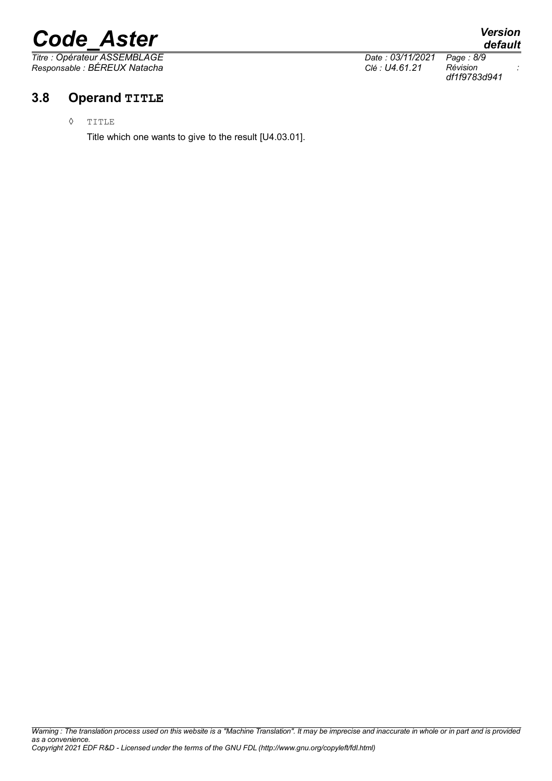*Titre : Opérateur ASSEMBLAGE Date : 03/11/2021 Page : 8/9 Responsable : BÉREUX Natacha Clé : U4.61.21 Révision :*

# **3.8 Operand TITLE**

◊ TITLE

Title which one wants to give to the result [U4.03.01].

*default*

*df1f9783d941*